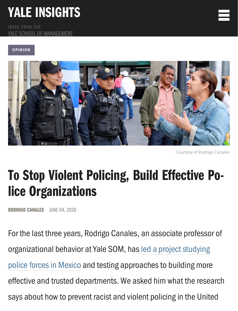## [YALE INSIGHTS](https://insights.som.yale.edu/)

IDEAS FROM THE SCHOOL OF MANAGEMENT

#### **OPINION**



Courtesy of Rodrigo Canales

|<br>|-<br>|-

# To Stop Violent Policing, Build Effective Police Organizations

RODRIGO CANALES JUNE 04, 2020

For the last three years, Rodrigo Canales, an associate professor of [organizational behavior at Yale SOM, has led a project studying](https://som.yale.edu/news/2017/07/yale-university-leads-investigation-of-how-to-build-effective-police-organizations) police forces in Mexico and testing approaches to building more effective and trusted departments. We asked him what the research says about how to prevent racist and violent policing in the United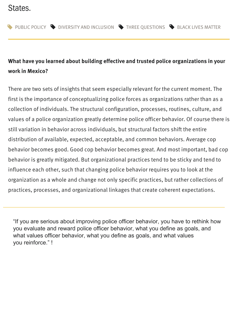## [States.](https://insights.som.yale.edu/categories/public-policy)

## **What have you learned about building effective and trusted police organizations in your work in Mexico?**

There are two sets of insights that seem especially relevant for the current moment. The first is the importance of conceptualizing police forces as organizations rather than as a collection of individuals. The structural configuration, processes, routines, culture, and values of a police organization greatly determine police officer behavior. Of course there is still variation in behavior across individuals, but structural factors shift the entire distribution of available, expected, acceptable, and common behaviors. Average cop behavior becomes good. Good cop behavior becomes great. And most important, bad cop behavior is greatly mitigated. But organizational practices tend to be sticky and tend to influence each other, such that changing police behavior requires you to look at the organization as a whole and change not only specific practices, but rather collections of practices, processes, and organizational linkages that create coherent expectations.

"If you are serious about improving police officer behavior, you have to rethink how you evaluate and reward police officer behavior, what you define as goals, and what values officer behavior, what you define as goals, and what values you reinforce." !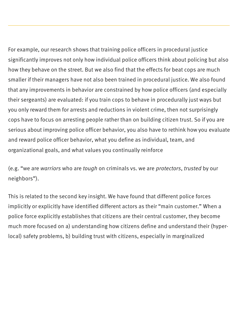For example, our research shows that training police officers in procedural justice significantly improves not only how individual police officers think about policing but also how they behave on the street. But we also find that the effects for beat cops are much smaller if their managers have not also been trained in procedural justice. We also found that any improvements in behavior are constrained by how police officers (and especially their sergeants) are evaluated: if you train cops to behave in procedurally just ways but you only reward them for arrests and reductions in violent crime, then not surprisingly cops have to focus on arresting people rather than on building citizen trust. So if you are serious about improving police officer behavior, you also have to rethink how you evaluate and reward police officer behavior, what you define as individual, team, and organizational goals, and what values you continually reinforce

(e.g. "we are warriors who are tough on criminals vs. we are protectors, trusted by our neighbors").

This is related to the second key insight. We have found that different police forces implicitly or explicitly have identified different actors as their "main customer." When a police force explicitly establishes that citizens are their central customer, they become much more focused on a) understanding how citizens define and understand their (hyperlocal) safety problems, b) building trust with citizens, especially in marginalized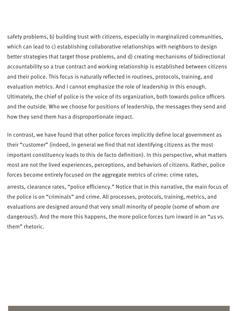safety problems, b) building trust with citizens, especially in marginalized communities, which can lead to c) establishing collaborative relationships with neighbors to design better strategies that target those problems, and d) creating mechanisms of bidirectional accountability so a true contract and working relationship is established between citizens and their police. This focus is naturally reflected in routines, protocols, training, and evaluation metrics. And I cannot emphasize the role of leadership in this enough. Ultimately, the chief of police is the voice of its organization, both towards police officers and the outside. Who we choose for positions of leadership, the messages they send and how they send them has a disproportionate impact.

In contrast, we have found that other police forces implicitly define local government as their "customer" (indeed, in general we find that not identifying citizens as the most important constituency leads to this de facto definition). In this perspective, what matters most are not the lived experiences, perceptions, and behaviors of citizens. Rather, police forces become entirely focused on the aggregate metrics of crime: crime rates,

arrests, clearance rates, "police efficiency." Notice that in this narrative, the main focus of the police is on "criminals" and crime. All processes, protocols, training, metrics, and evaluations are designed around that very small minority of people (some of whom are dangerous!). And the more this happens, the more police forces turn inward in an "us vs. them" rhetoric.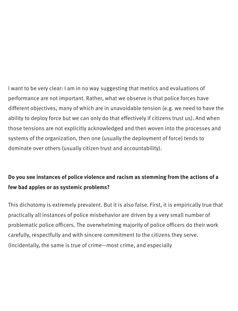I want to be very clear: I am in no way suggesting that metrics and evaluations of performance are not important. Rather, what we observe is that police forces have different objectives, many of which are in unavoidable tension (e.g. we need to have the ability to deploy force but we can only do that effectively if citizens trust us). And when those tensions are not explicitly acknowledged and then woven into the processes and systems of the organization, then one (usually the deployment of force) tends to dominate over others (usually citizen trust and accountability).

### **Do you see instances of police violence and racism as stemming from the actions of a few bad apples or as systemic problems?**

This dichotomy is extremely prevalent. But it is also false. First, it is empirically true that practically all instances of police misbehavior are driven by a very small number of problematic police officers. The overwhelming majority of police officers do their work carefully, respectfully and with sincere commitment to the citizens they serve. (Incidentally, the same is true of crime—most crime, and especially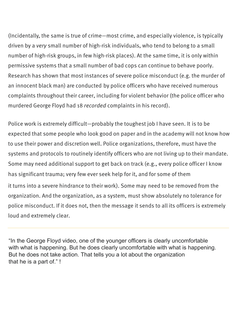(Incidentally, the same is true of crime—most crime, and especially violence, is typically driven by a very small number of high-risk individuals, who tend to belong to a small number of high-risk groups, in few high-risk places). At the same time, it is only within permissive systems that a small number of bad cops can continue to behave poorly. Research has shown that most instances of severe police misconduct (e.g. the murder of an innocent black man) are conducted by police officers who have received numerous complaints throughout their career, including for violent behavior (the police officer who murdered George Floyd had 18 recorded complaints in his record).

Police work is extremely difficult—probably the toughest job I have seen. It is to be expected that some people who look good on paper and in the academy will not know how to use their power and discretion well. Police organizations, therefore, must have the systems and protocols to routinely identify officers who are not living up to their mandate. Some may need additional support to get back on track (e.g., every police officer I know has significant trauma; very few ever seek help for it, and for some of them it turns into a severe hindrance to their work). Some may need to be removed from the

organization. And the organization, as a system, must show absolutely no tolerance for police misconduct. If it does not, then the message it sends to all its officers is extremely loud and extremely clear.

"In the George Floyd video, one of the younger officers is clearly uncomfortable with what is happening. But he does clearly uncomfortable with what is happening. But he does not take action. That tells you a lot about the organization that he is a part of." !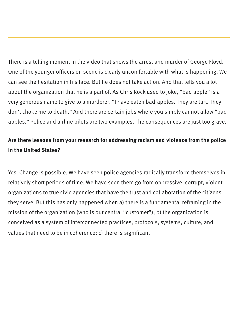There is a telling moment in the video that shows the arrest and murder of George Floyd. One of the younger officers on scene is clearly uncomfortable with what is happening. We can see the hesitation in his face. But he does not take action. And that tells you a lot about the organization that he is a part of. As Chris Rock used to joke, "bad apple" is a very generous name to give to a murderer. "I have eaten bad apples. They are tart. They don't choke me to death." And there are certain jobs where you simply cannot allow "bad apples." Police and airline pilots are two examples. The consequences are just too grave.

### **Are there lessons from your research for addressing racism and violence from the police in the United States?**

Yes. Change is possible. We have seen police agencies radically transform themselves in relatively short periods of time. We have seen them go from oppressive, corrupt, violent organizations to true civic agencies that have the trust and collaboration of the citizens they serve. But this has only happened when a) there is a fundamental reframing in the mission of the organization (who is our central "customer"); b) the organization is conceived as a system of interconnected practices, protocols, systems, culture, and values that need to be in coherence; c) there is significant